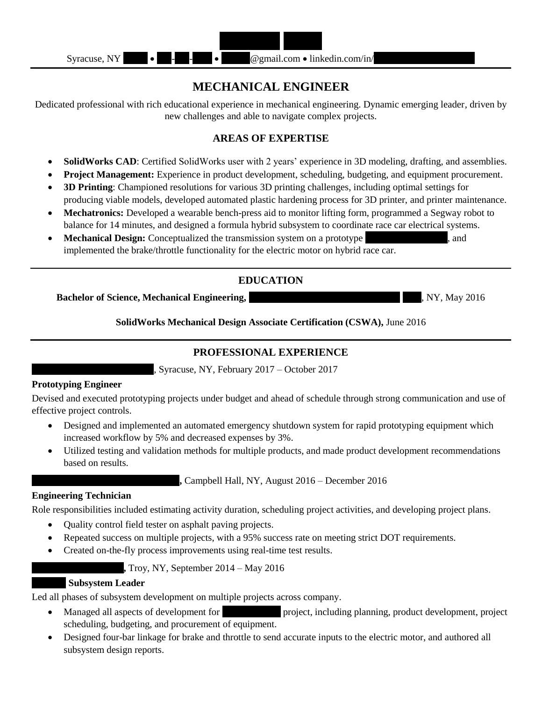

# **MECHANICAL ENGINEER**

Dedicated professional with rich educational experience in mechanical engineering. Dynamic emerging leader, driven by new challenges and able to navigate complex projects.

### **AREAS OF EXPERTISE**

- **SolidWorks CAD**: Certified SolidWorks user with 2 years' experience in 3D modeling, drafting, and assemblies.
- **Project Management:** Experience in product development, scheduling, budgeting, and equipment procurement.
- **3D Printing**: Championed resolutions for various 3D printing challenges, including optimal settings for producing viable models, developed automated plastic hardening process for 3D printer, and printer maintenance.
- **Mechatronics:** Developed a wearable bench-press aid to monitor lifting form, programmed a Segway robot to balance for 14 minutes, and designed a formula hybrid subsystem to coordinate race car electrical systems.
- **Mechanical Design:** Conceptualized the transmission system on a prototype same space and implemented the brake/throttle functionality for the electric motor on hybrid race car.

## **EDUCATION**

**Bachelor of Science, Mechanical Engineering, Tray, 2016**, NY, May 2016

**SolidWorks Mechanical Design Associate Certification (CSWA),** June 2016

## **PROFESSIONAL EXPERIENCE**

, Syracuse, NY, February 2017 – October 2017

#### **Prototyping Engineer**

Devised and executed prototyping projects under budget and ahead of schedule through strong communication and use of effective project controls.

- Designed and implemented an automated emergency shutdown system for rapid prototyping equipment which increased workflow by 5% and decreased expenses by 3%.
- Utilized testing and validation methods for multiple products, and made product development recommendations based on results.

**Campbell Hall, NY, August 2016 – December 2016** 

#### **Engineering Technician**

Role responsibilities included estimating activity duration, scheduling project activities, and developing project plans.

- Quality control field tester on asphalt paving projects.
- Repeated success on multiple projects, with a 95% success rate on meeting strict DOT requirements.
- Created on-the-fly process improvements using real-time test results.

**Formula**, Troy, NY, September 2014 – May 2016

#### **Racecar Subsystem Leader**

Led all phases of subsystem development on multiple projects across company.

- Managed all aspects of development for hybrid race project, including planning, product development, project scheduling, budgeting, and procurement of equipment.
- Designed four-bar linkage for brake and throttle to send accurate inputs to the electric motor, and authored all subsystem design reports.